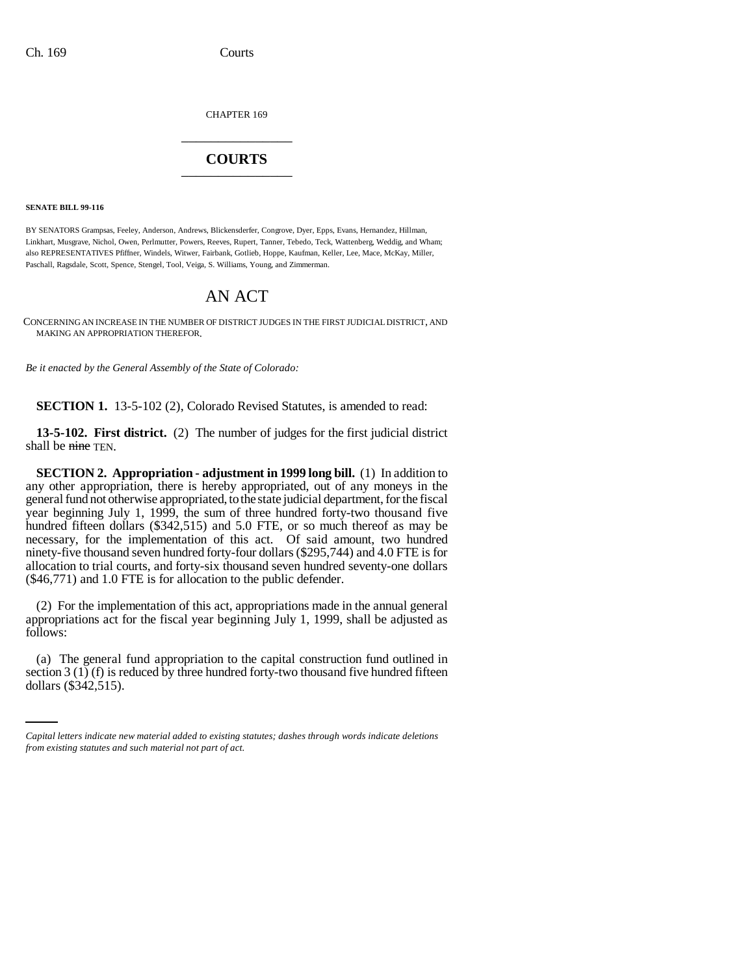CHAPTER 169 \_\_\_\_\_\_\_\_\_\_\_\_\_\_\_

## **COURTS** \_\_\_\_\_\_\_\_\_\_\_\_\_\_\_

**SENATE BILL 99-116**

BY SENATORS Grampsas, Feeley, Anderson, Andrews, Blickensderfer, Congrove, Dyer, Epps, Evans, Hernandez, Hillman, Linkhart, Musgrave, Nichol, Owen, Perlmutter, Powers, Reeves, Rupert, Tanner, Tebedo, Teck, Wattenberg, Weddig, and Wham; also REPRESENTATIVES Pfiffner, Windels, Witwer, Fairbank, Gotlieb, Hoppe, Kaufman, Keller, Lee, Mace, McKay, Miller, Paschall, Ragsdale, Scott, Spence, Stengel, Tool, Veiga, S. Williams, Young, and Zimmerman.

## AN ACT

CONCERNING AN INCREASE IN THE NUMBER OF DISTRICT JUDGES IN THE FIRST JUDICIAL DISTRICT, AND MAKING AN APPROPRIATION THEREFOR.

*Be it enacted by the General Assembly of the State of Colorado:*

**SECTION 1.** 13-5-102 (2), Colorado Revised Statutes, is amended to read:

**13-5-102. First district.** (2) The number of judges for the first judicial district shall be nine TEN.

**SECTION 2. Appropriation - adjustment in 1999 long bill.** (1) In addition to any other appropriation, there is hereby appropriated, out of any moneys in the general fund not otherwise appropriated, to the state judicial department, for the fiscal year beginning July 1, 1999, the sum of three hundred forty-two thousand five hundred fifteen dollars (\$342,515) and 5.0 FTE, or so much thereof as may be necessary, for the implementation of this act. Of said amount, two hundred ninety-five thousand seven hundred forty-four dollars (\$295,744) and 4.0 FTE is for allocation to trial courts, and forty-six thousand seven hundred seventy-one dollars (\$46,771) and 1.0 FTE is for allocation to the public defender.

(2) For the implementation of this act, appropriations made in the annual general appropriations act for the fiscal year beginning July 1, 1999, shall be adjusted as follows:

(a) The general fund appropriation to the capital construction fund outlined in section  $3(1)$  (f) is reduced by three hundred forty-two thousand five hundred fifteen dollars (\$342,515).

*Capital letters indicate new material added to existing statutes; dashes through words indicate deletions from existing statutes and such material not part of act.*